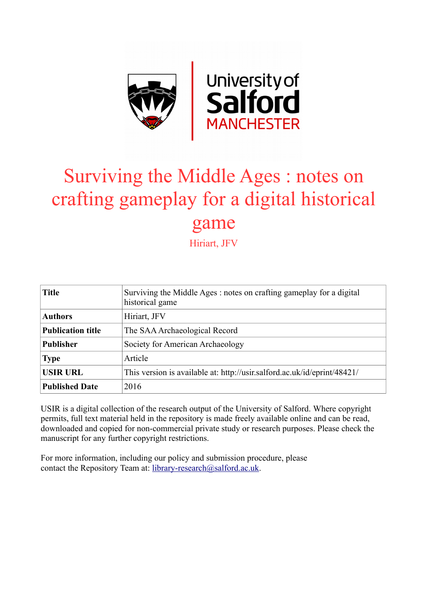

# Surviving the Middle Ages : notes on crafting gameplay for a digital historical game

Hiriart, JFV

| <b>Title</b>             | Surviving the Middle Ages: notes on crafting gameplay for a digital<br>historical game |
|--------------------------|----------------------------------------------------------------------------------------|
| <b>Authors</b>           | Hiriart, JFV                                                                           |
| <b>Publication title</b> | The SAA Archaeological Record                                                          |
| <b>Publisher</b>         | Society for American Archaeology                                                       |
| <b>Type</b>              | Article                                                                                |
| <b>USIR URL</b>          | This version is available at: http://usir.salford.ac.uk/id/eprint/48421/               |
| <b>Published Date</b>    | 2016                                                                                   |

USIR is a digital collection of the research output of the University of Salford. Where copyright permits, full text material held in the repository is made freely available online and can be read, downloaded and copied for non-commercial private study or research purposes. Please check the manuscript for any further copyright restrictions.

For more information, including our policy and submission procedure, please contact the Repository Team at: [library-research@salford.ac.uk.](mailto:library-research@salford.ac.uk)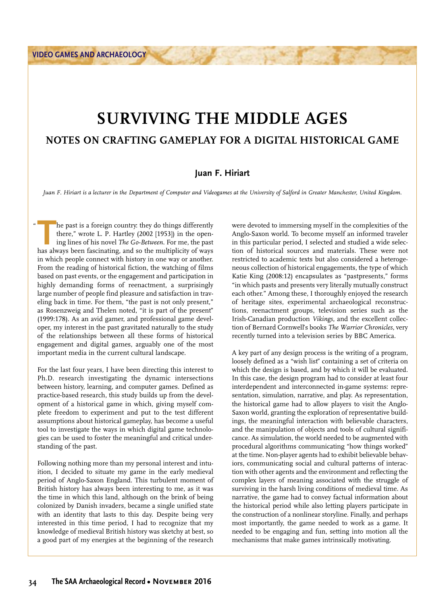$\mu$ 

## **SURVIVING THE MIDDLE AGES NOTES ON CRAFTING GAMEPLAY FOR A DIGITAL HISTORICAL GAME**

### **Juan F. Hiriart**

Juan F. Hiriart is a lecturer in the Department of Computer and Videogames at the University of Salford in Greater Manchester, United Kingdom.

The past is a foreign country: they do things differently<br>there," wrote L. P. Hartley (2002 [1953]) in the open-<br>ing lines of his novel *The Go-Between*. For me, the past<br>has always been fascinating, and so the multiplicit there," wrote L. P. Hartley (2002 [1953]) in the opening lines of his novel *The Go-Between*. For me, the past has always been fascinating, and so the multiplicity of ways in which people connect with history in one way or another. From the reading of historical fiction, the watching of films based on past events, or the engagement and participation in highly demanding forms of reenactment, a surprisingly large number of people find pleasure and satisfaction in traveling back in time. For them, "the past is not only present," as Rosenzweig and Thelen noted, "it is part of the present" (1999:178). As an avid gamer, and professional game developer, my interest in the past gravitated naturally to the study of the relationships between all these forms of historical engagement and digital games, arguably one of the most important media in the current cultural landscape.

For the last four years, I have been directing this interest to Ph.D. research investigating the dynamic intersections between history, learning, and computer games. Defined as practice-based research, this study builds up from the development of a historical game in which, giving myself complete freedom to experiment and put to the test different assumptions about historical gameplay, has become a useful tool to investigate the ways in which digital game technologies can be used to foster the meaningful and critical understanding of the past.

Following nothing more than my personal interest and intuition, I decided to situate my game in the early medieval period of Anglo-Saxon England. This turbulent moment of British history has always been interesting to me, as it was the time in which this land, although on the brink of being colonized by Danish invaders, became a single unified state with an identity that lasts to this day. Despite being very interested in this time period, I had to recognize that my knowledge of medieval British history was sketchy at best, so a good part of my energies at the beginning of the research

were devoted to immersing myself in the complexities of the Anglo-Saxon world. To become myself an informed traveler in this particular period, I selected and studied a wide selection of historical sources and materials. These were not restricted to academic texts but also considered a heterogeneous collection of historical engagements, the type of which Katie King (2008:12) encapsulates as "pastpresents," forms "in which pasts and presents very literally mutually construct each other." Among these, I thoroughly enjoyed the research of heritage sites, experimental archaeological reconstructions, reenactment groups, television series such as the Irish-Canadian production *Vikings*, and the excellent collection of Bernard Cornwell's books *The Warrior Chronicles*, very recently turned into a television series by BBC America.

A key part of any design process is the writing of a program, loosely defined as a "wish list" containing a set of criteria on which the design is based, and by which it will be evaluated. In this case, the design program had to consider at least four interdependent and interconnected in-game systems: representation, simulation, narrative, and play. As representation, the historical game had to allow players to visit the Anglo-Saxon world, granting the exploration of representative buildings, the meaningful interaction with believable characters, and the manipulation of objects and tools of cultural significance. As simulation, the world needed to be augmented with procedural algorithms communicating "how things worked" at the time. Non-player agents had to exhibit believable behaviors, communicating social and cultural patterns of interaction with other agents and the environment and reflecting the complex layers of meaning associated with the struggle of surviving in the harsh living conditions of medieval time. As narrative, the game had to convey factual information about the historical period while also letting players participate in the construction of a nonlinear storyline. Finally, and perhaps most importantly, the game needed to work as a game. It needed to be engaging and fun, setting into motion all the mechanisms that make games intrinsically motivating.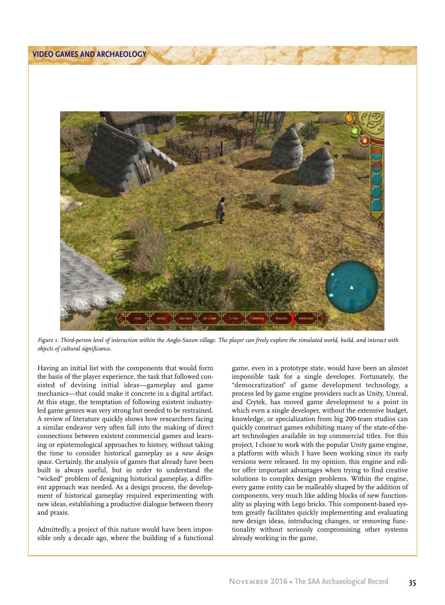

Figure 1. Third-person level of interaction within the Anglo-Saxon village. The player can freely explore the simulated world, build, and interact with *objects of cultural significance.*

Having an initial list with the components that would form the basis of the player experience, the task that followed consisted of devising initial ideas—gameplay and game mechanics—that could make it concrete in a digital artifact. At this stage, the temptation of following existent industryled game genres was very strong but needed to be restrained. A review of literature quickly shows how researchers facing a similar endeavor very often fall into the making of direct connections between existent commercial games and learning or epistemological approaches to history, without taking the time to consider historical gameplay as a *new design space*. Certainly, the analysis of games that already have been built is always useful, but in order to understand the "wicked" problem of designing historical gameplay, a different approach was needed. As a design process, the development of historical gameplay required experimenting with new ideas, establishing a productive dialogue between theory and praxis.

Admittedly, a project of this nature would have been impossible only a decade ago, where the building of a functional

game, even in a prototype state, would have been an almost impossible task for a single developer. Fortunately, the "democratization" of game development technology, a process led by game engine providers such as Unity, Unreal, and Crytek, has moved game development to a point in which even a single developer, without the extensive budget, knowledge, or specialization from big 200-team studios can quickly construct games exhibiting many of the state-of-theart technologies available in top commercial titles. For this project, I chose to work with the popular Unity game engine, a platform with which I have been working since its early versions were released. In my opinion, this engine and editor offer important advantages when trying to find creative solutions to complex design problems. Within the engine, every game entity can be malleably shaped by the addition of components, very much like adding blocks of new functionality as playing with Lego bricks. This component-based system greatly facilitates quickly implementing and evaluating new design ideas, introducing changes, or removing functionality without seriously compromising other systems already working in the game.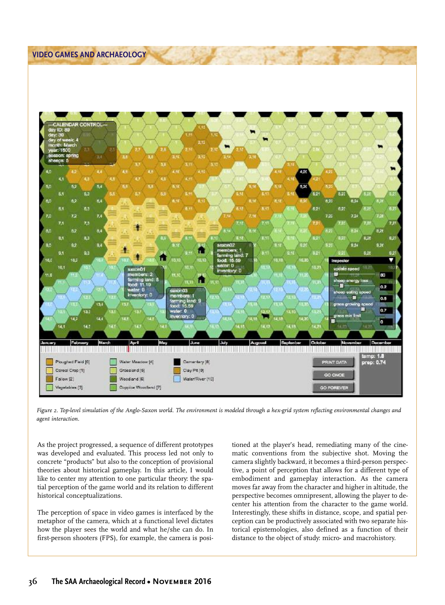#### **VIDEO GAMES AND ARCHAEOLOGY**



Figure 2. Top-level simulation of the Anglo-Saxon world. The environment is modeled through a hex-grid system reflecting environmental changes and *agent interaction.*

As the project progressed, a sequence of different prototypes was developed and evaluated. This process led not only to concrete "products" but also to the conception of provisional theories about historical gameplay. In this article, I would like to center my attention to one particular theory: the spatial perception of the game world and its relation to different historical conceptualizations.

The perception of space in video games is interfaced by the metaphor of the camera, which at a functional level dictates how the player sees the world and what he/she can do. In first-person shooters (FPS), for example, the camera is positioned at the player's head, remediating many of the cinematic conventions from the subjective shot. Moving the camera slightly backward, it becomes a third-person perspective, a point of perception that allows for a different type of embodiment and gameplay interaction. As the camera moves far away from the character and higher in altitude, the perspective becomes omnipresent, allowing the player to decenter his attention from the character to the game world. Interestingly, these shifts in distance, scope, and spatial perception can be productively associated with two separate historical epistemologies, also defined as a function of their distance to the object of study: micro- and macrohistory.